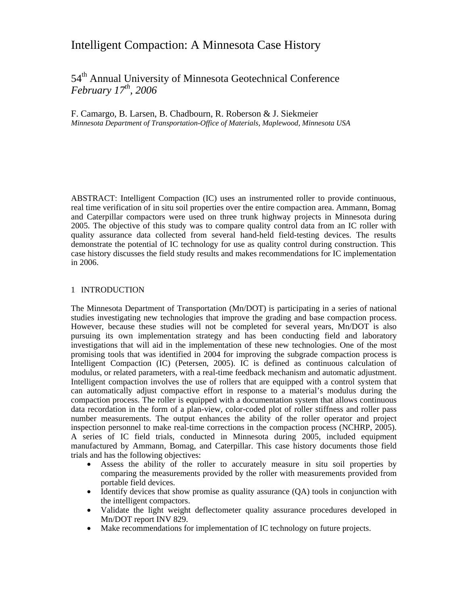# Intelligent Compaction: A Minnesota Case History

54th Annual University of Minnesota Geotechnical Conference *February 17th, 2006* 

F. Camargo, B. Larsen, B. Chadbourn, R. Roberson & J. Siekmeier *Minnesota Department of Transportation-Office of Materials, Maplewood, Minnesota USA* 

ABSTRACT: Intelligent Compaction (IC) uses an instrumented roller to provide continuous, real time verification of in situ soil properties over the entire compaction area. Ammann, Bomag and Caterpillar compactors were used on three trunk highway projects in Minnesota during 2005. The objective of this study was to compare quality control data from an IC roller with quality assurance data collected from several hand-held field-testing devices. The results demonstrate the potential of IC technology for use as quality control during construction. This case history discusses the field study results and makes recommendations for IC implementation in 2006.

### 1 INTRODUCTION

The Minnesota Department of Transportation (Mn/DOT) is participating in a series of national studies investigating new technologies that improve the grading and base compaction process. However, because these studies will not be completed for several years, Mn/DOT is also pursuing its own implementation strategy and has been conducting field and laboratory investigations that will aid in the implementation of these new technologies. One of the most promising tools that was identified in 2004 for improving the subgrade compaction process is Intelligent Compaction (IC) (Petersen, 2005). IC is defined as continuous calculation of modulus, or related parameters, with a real-time feedback mechanism and automatic adjustment. Intelligent compaction involves the use of rollers that are equipped with a control system that can automatically adjust compactive effort in response to a material's modulus during the compaction process. The roller is equipped with a documentation system that allows continuous data recordation in the form of a plan-view, color-coded plot of roller stiffness and roller pass number measurements. The output enhances the ability of the roller operator and project inspection personnel to make real-time corrections in the compaction process (NCHRP, 2005). A series of IC field trials, conducted in Minnesota during 2005, included equipment manufactured by Ammann, Bomag, and Caterpillar. This case history documents those field trials and has the following objectives:

- Assess the ability of the roller to accurately measure in situ soil properties by comparing the measurements provided by the roller with measurements provided from portable field devices.
- Identify devices that show promise as quality assurance (QA) tools in conjunction with the intelligent compactors.
- Validate the light weight deflectometer quality assurance procedures developed in Mn/DOT report INV 829.
- Make recommendations for implementation of IC technology on future projects.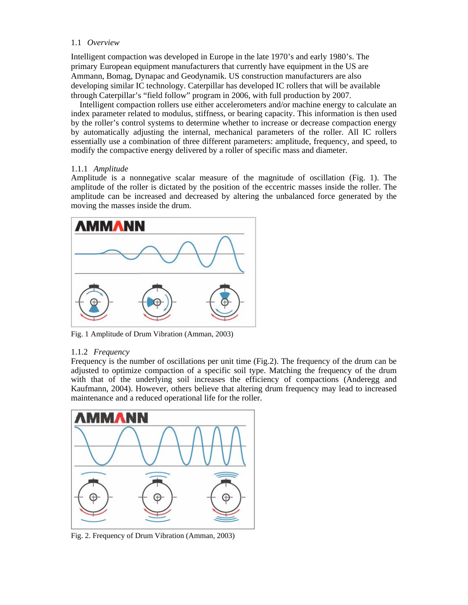# 1.1 *Overview*

Intelligent compaction was developed in Europe in the late 1970's and early 1980's. The primary European equipment manufacturers that currently have equipment in the US are Ammann, Bomag, Dynapac and Geodynamik. US construction manufacturers are also developing similar IC technology. Caterpillar has developed IC rollers that will be available through Caterpillar's "field follow" program in 2006, with full production by 2007.

Intelligent compaction rollers use either accelerometers and/or machine energy to calculate an index parameter related to modulus, stiffness, or bearing capacity. This information is then used by the roller's control systems to determine whether to increase or decrease compaction energy by automatically adjusting the internal, mechanical parameters of the roller. All IC rollers essentially use a combination of three different parameters: amplitude, frequency, and speed, to modify the compactive energy delivered by a roller of specific mass and diameter.

# 1.1.1 *Amplitude*

Amplitude is a nonnegative scalar measure of the magnitude of oscillation (Fig. 1). The amplitude of the roller is dictated by the position of the eccentric masses inside the roller. The amplitude can be increased and decreased by altering the unbalanced force generated by the moving the masses inside the drum.



Fig. 1 Amplitude of Drum Vibration (Amman, 2003)

# 1.1.2 *Frequency*

Frequency is the number of oscillations per unit time (Fig.2). The frequency of the drum can be adjusted to optimize compaction of a specific soil type. Matching the frequency of the drum with that of the underlying soil increases the efficiency of compactions (Anderegg and Kaufmann, 2004). However, others believe that altering drum frequency may lead to increased maintenance and a reduced operational life for the roller.



Fig. 2. Frequency of Drum Vibration (Amman, 2003)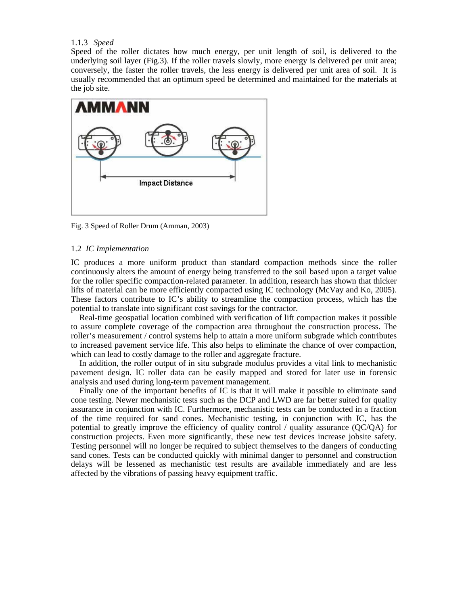#### 1.1.3 *Speed*

Speed of the roller dictates how much energy, per unit length of soil, is delivered to the underlying soil layer (Fig.3). If the roller travels slowly, more energy is delivered per unit area; conversely, the faster the roller travels, the less energy is delivered per unit area of soil. It is usually recommended that an optimum speed be determined and maintained for the materials at the job site.



Fig. 3 Speed of Roller Drum (Amman, 2003)

#### 1.2 *IC Implementation*

IC produces a more uniform product than standard compaction methods since the roller continuously alters the amount of energy being transferred to the soil based upon a target value for the roller specific compaction-related parameter. In addition, research has shown that thicker lifts of material can be more efficiently compacted using IC technology (McVay and Ko, 2005). These factors contribute to IC's ability to streamline the compaction process, which has the potential to translate into significant cost savings for the contractor.

 Real-time geospatial location combined with verification of lift compaction makes it possible to assure complete coverage of the compaction area throughout the construction process. The roller's measurement / control systems help to attain a more uniform subgrade which contributes to increased pavement service life. This also helps to eliminate the chance of over compaction, which can lead to costly damage to the roller and aggregate fracture.

 In addition, the roller output of in situ subgrade modulus provides a vital link to mechanistic pavement design. IC roller data can be easily mapped and stored for later use in forensic analysis and used during long-term pavement management.

 Finally one of the important benefits of IC is that it will make it possible to eliminate sand cone testing. Newer mechanistic tests such as the DCP and LWD are far better suited for quality assurance in conjunction with IC. Furthermore, mechanistic tests can be conducted in a fraction of the time required for sand cones. Mechanistic testing, in conjunction with IC, has the potential to greatly improve the efficiency of quality control  $/$  quality assurance (QC/QA) for construction projects. Even more significantly, these new test devices increase jobsite safety. Testing personnel will no longer be required to subject themselves to the dangers of conducting sand cones. Tests can be conducted quickly with minimal danger to personnel and construction delays will be lessened as mechanistic test results are available immediately and are less affected by the vibrations of passing heavy equipment traffic.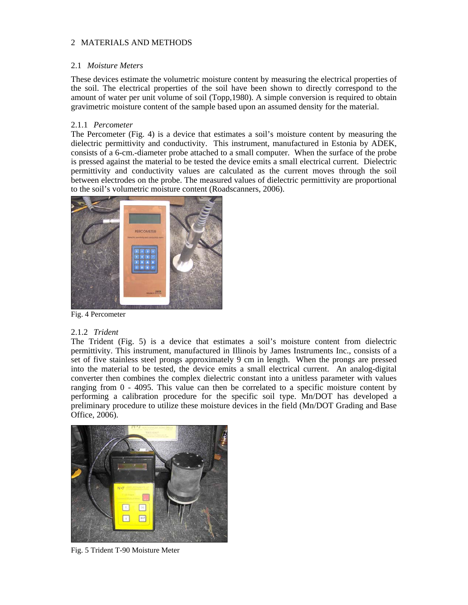# 2 MATERIALS AND METHODS

# 2.1 *Moisture Meters*

These devices estimate the volumetric moisture content by measuring the electrical properties of the soil. The electrical properties of the soil have been shown to directly correspond to the amount of water per unit volume of soil (Topp,1980). A simple conversion is required to obtain gravimetric moisture content of the sample based upon an assumed density for the material.

# 2.1.1 *Percometer*

The Percometer (Fig. 4) is a device that estimates a soil's moisture content by measuring the dielectric permittivity and conductivity. This instrument, manufactured in Estonia by ADEK, consists of a 6-cm.-diameter probe attached to a small computer. When the surface of the probe is pressed against the material to be tested the device emits a small electrical current. Dielectric permittivity and conductivity values are calculated as the current moves through the soil between electrodes on the probe. The measured values of dielectric permittivity are proportional to the soil's volumetric moisture content (Roadscanners, 2006).



Fig. 4 Percometer

# 2.1.2 *Trident*

The Trident (Fig. 5) is a device that estimates a soil's moisture content from dielectric permittivity. This instrument, manufactured in Illinois by James Instruments Inc., consists of a set of five stainless steel prongs approximately 9 cm in length. When the prongs are pressed into the material to be tested, the device emits a small electrical current. An analog-digital converter then combines the complex dielectric constant into a unitless parameter with values ranging from 0 - 4095. This value can then be correlated to a specific moisture content by performing a calibration procedure for the specific soil type. Mn/DOT has developed a preliminary procedure to utilize these moisture devices in the field (Mn/DOT Grading and Base Office, 2006).



Fig. 5 Trident T-90 Moisture Meter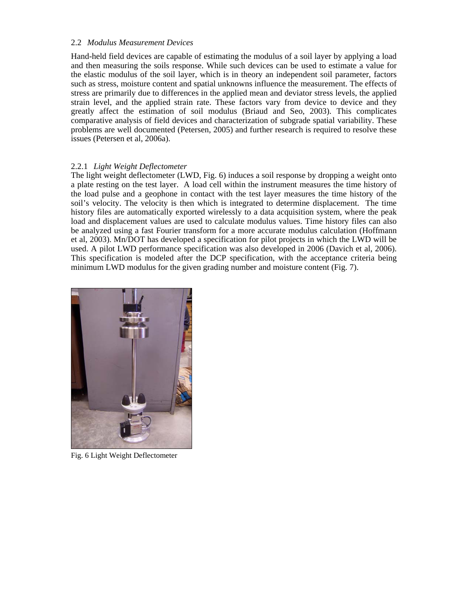#### 2.2 *Modulus Measurement Devices*

Hand-held field devices are capable of estimating the modulus of a soil layer by applying a load and then measuring the soils response. While such devices can be used to estimate a value for the elastic modulus of the soil layer, which is in theory an independent soil parameter, factors such as stress, moisture content and spatial unknowns influence the measurement. The effects of stress are primarily due to differences in the applied mean and deviator stress levels, the applied strain level, and the applied strain rate. These factors vary from device to device and they greatly affect the estimation of soil modulus (Briaud and Seo, 2003). This complicates comparative analysis of field devices and characterization of subgrade spatial variability. These problems are well documented (Petersen, 2005) and further research is required to resolve these issues (Petersen et al, 2006a).

# 2.2.1 *Light Weight Deflectometer*

The light weight deflectometer (LWD, Fig. 6) induces a soil response by dropping a weight onto a plate resting on the test layer. A load cell within the instrument measures the time history of the load pulse and a geophone in contact with the test layer measures the time history of the soil's velocity. The velocity is then which is integrated to determine displacement. The time history files are automatically exported wirelessly to a data acquisition system, where the peak load and displacement values are used to calculate modulus values. Time history files can also be analyzed using a fast Fourier transform for a more accurate modulus calculation (Hoffmann et al, 2003). Mn/DOT has developed a specification for pilot projects in which the LWD will be used. A pilot LWD performance specification was also developed in 2006 (Davich et al, 2006). This specification is modeled after the DCP specification, with the acceptance criteria being minimum LWD modulus for the given grading number and moisture content (Fig. 7).



Fig. 6 Light Weight Deflectometer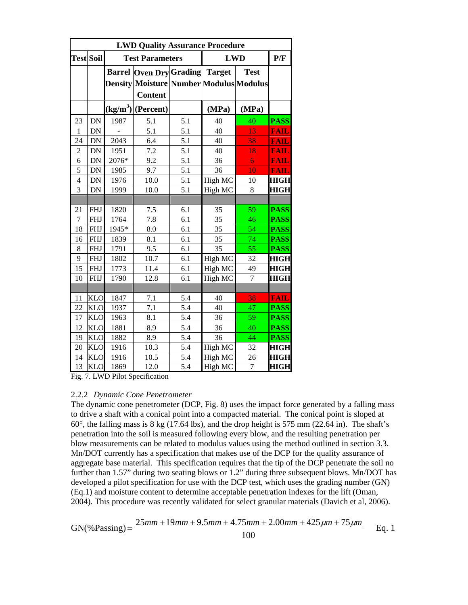| <b>LWD Quality Assurance Procedure</b> |               |       |                                                                                                           |                  |            |                |             |  |  |
|----------------------------------------|---------------|-------|-----------------------------------------------------------------------------------------------------------|------------------|------------|----------------|-------------|--|--|
| <b>Test Soil</b>                       |               |       | <b>Test Parameters</b>                                                                                    |                  | <b>LWD</b> |                | P/F         |  |  |
|                                        |               |       | <b>Barrel Oven Dry Grading Target</b><br><b>Density Moisture Number Modulus Modulus</b><br><b>Content</b> |                  |            | <b>Test</b>    |             |  |  |
|                                        |               |       | $(kg/m3)$ (Percent)                                                                                       |                  | (MPa)      | (MPa)          |             |  |  |
| 23                                     | DN            | 1987  | 5.1                                                                                                       | 5.1              | 40         | 40             | <b>PASS</b> |  |  |
| $\mathbf{1}$                           | $\mathbf{DN}$ |       | 5.1                                                                                                       | 5.1              | 40         | 13             | <b>FAIL</b> |  |  |
| 24                                     | DN            | 2043  | 6.4                                                                                                       | 5.1              | 40         | 38             | <b>FAIL</b> |  |  |
| $\overline{2}$                         | DN            | 1951  | 7.2                                                                                                       | 5.1              | 40         | 18             | <b>FAIL</b> |  |  |
| 6                                      | DN            | 2076* | 9.2                                                                                                       | 5.1              | 36         | 6              | <b>FAIL</b> |  |  |
| 5                                      | $\mathbf{DN}$ | 1985  | 9.7                                                                                                       | 5.1              | 36         | 10             | <b>FAIL</b> |  |  |
| $\overline{4}$                         | DN            | 1976  | 10.0                                                                                                      | 5.1              | High MC    | 10             | <b>HIGH</b> |  |  |
| 3                                      | DN            | 1999  | 10.0                                                                                                      | 5.1              | High MC    | 8              | <b>HIGH</b> |  |  |
|                                        |               |       |                                                                                                           |                  |            |                |             |  |  |
| 21                                     | <b>FHJ</b>    | 1820  | 7.5                                                                                                       | 6.1              | 35         | 59             | <b>PASS</b> |  |  |
| $\tau$                                 | <b>FHJ</b>    | 1764  | 7.8                                                                                                       | 6.1              | 35         | 46             | <b>PASS</b> |  |  |
| 18                                     | <b>FHJ</b>    | 1945* | 8.0                                                                                                       | 6.1              | 35         | 54             | <b>PASS</b> |  |  |
| 16                                     | <b>FHJ</b>    | 1839  | 8.1                                                                                                       | 6.1              | 35         | 74             | <b>PASS</b> |  |  |
| 8                                      | <b>FHJ</b>    | 1791  | 9.5                                                                                                       | 6.1              | 35         | 55             | <b>PASS</b> |  |  |
| 9                                      | <b>FHJ</b>    | 1802  | 10.7                                                                                                      | 6.1              | High MC    | 32             | <b>HIGH</b> |  |  |
| 15                                     | <b>FHJ</b>    | 1773  | 11.4                                                                                                      | 6.1              | High MC    | 49             | <b>HIGH</b> |  |  |
| 10                                     | <b>FHJ</b>    | 1790  | 12.8                                                                                                      | 6.1              | High MC    | $\overline{7}$ | <b>HIGH</b> |  |  |
|                                        |               |       |                                                                                                           |                  |            |                |             |  |  |
| 11                                     | <b>KLO</b>    | 1847  | 7.1                                                                                                       | 5.4              | 40         | 38             | <b>FAIL</b> |  |  |
| 22                                     | <b>KLO</b>    | 1937  | 7.1                                                                                                       | 5.4              | 40         | 47             | <b>PASS</b> |  |  |
| 17                                     | <b>KLO</b>    | 1963  | 8.1                                                                                                       | 5.4              | 36         | 59             | <b>PASS</b> |  |  |
| 12                                     | <b>KLO</b>    | 1881  | 8.9                                                                                                       | 5.4              | 36         | 40             | <b>PASS</b> |  |  |
| 19                                     | <b>KLO</b>    | 1882  | 8.9                                                                                                       | 5.4              | 36         | 44             | <b>PASS</b> |  |  |
| 20                                     | <b>KLO</b>    | 1916  | 10.3                                                                                                      | 5.4              | High MC    | 32             | <b>HIGH</b> |  |  |
| 14                                     | <b>KLO</b>    | 1916  | 10.5                                                                                                      | 5.4              | High MC    | 26             | <b>HIGH</b> |  |  |
| $\overline{13}$                        | KLO           | 1869  | 12.0                                                                                                      | $\overline{5.4}$ | High MC    | $\overline{7}$ | <b>HIGH</b> |  |  |

Fig. 7. LWD Pilot Specification

# 2.2.2 *Dynamic Cone Penetrometer*

The dynamic cone penetrometer (DCP, Fig. 8) uses the impact force generated by a falling mass to drive a shaft with a conical point into a compacted material. The conical point is sloped at 60°, the falling mass is 8 kg (17.64 lbs), and the drop height is 575 mm (22.64 in). The shaft's penetration into the soil is measured following every blow, and the resulting penetration per blow measurements can be related to modulus values using the method outlined in section 3.3. Mn/DOT currently has a specification that makes use of the DCP for the quality assurance of aggregate base material. This specification requires that the tip of the DCP penetrate the soil no further than 1.57" during two seating blows or 1.2" during three subsequent blows. Mn/DOT has developed a pilot specification for use with the DCP test, which uses the grading number (GN) (Eq.1) and moisture content to determine acceptable penetration indexes for the lift (Oman, 2004). This procedure was recently validated for select granular materials (Davich et al, 2006).

$$
GN(\%Passing) = \frac{25mm + 19mm + 9.5mm + 4.75mm + 2.00mm + 425\mu m + 75\mu m}{100}
$$
 Eq. 1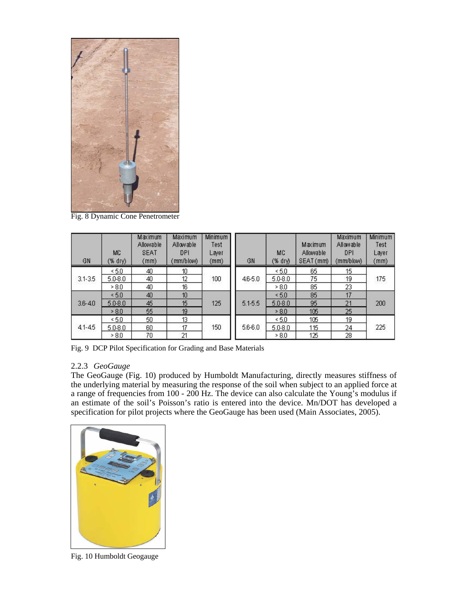

Fig. 8 Dynamic Cone Penetrometer

| GN          | <b>MC</b><br>(% dry) | Maximum<br>Allowable<br><b>SEAT</b><br>(mm) | Maximum<br>Allowable<br>DPI<br>(mm/blow) | Minimum<br>Test<br>Laver<br>(mm) | GN          | MC<br>$(% \mathcal{L}_{0})$ (% dry) | Maximum<br>Allowable<br>SEAT (mm) | Maximum<br>Allowable<br>DPI<br>(mm/blow) | Minimum<br>Test<br>Layer<br>(mm) |
|-------------|----------------------|---------------------------------------------|------------------------------------------|----------------------------------|-------------|-------------------------------------|-----------------------------------|------------------------------------------|----------------------------------|
|             | < 5.0                | 40                                          | 10                                       |                                  |             | < 5.0                               | 65                                | 15                                       |                                  |
| $3.1 - 3.5$ | $5.0 - 8.0$          | 40                                          | 12                                       | 100                              | $46 - 5.0$  | $5.0 - 8.0$                         | 75                                | 19                                       | 175                              |
|             | >8.0                 | 40                                          | 16                                       |                                  | > 8.0       | 85                                  | 23                                |                                          |                                  |
|             | 5.0                  | 40                                          | 10                                       |                                  |             | 5.0                                 | 85                                | 17                                       |                                  |
| $3.6 - 4.0$ | $5.0 - 8.0$          | 45                                          | 15                                       | 125                              | 5.1-5.5     | $5.0 - 8.0$                         | 95                                | 21                                       | 200                              |
|             | > 8.0                | 55                                          | 19                                       |                                  |             | >8.0                                | 105                               | 25                                       |                                  |
|             | < 5.0                | 50                                          | 13                                       |                                  |             | < 5.0                               | 105                               | 19                                       |                                  |
| $41 - 45$   | $5.0 - 8.0$          | 60                                          | 17                                       | 150                              | $5.6 - 6.0$ | $5.0 - 8.0$                         | 115                               | 24                                       | 225                              |
|             | > 8.0                | 70                                          | 21                                       |                                  |             | >8.0                                | 125                               | 28                                       |                                  |

Fig. 9 DCP Pilot Specification for Grading and Base Materials

#### 2.2.3 *GeoGauge*

The GeoGauge (Fig. 10) produced by Humboldt Manufacturing, directly measures stiffness of the underlying material by measuring the response of the soil when subject to an applied force at a range of frequencies from 100 - 200 Hz. The device can also calculate the Young's modulus if an estimate of the soil's Poisson's ratio is entered into the device. Mn/DOT has developed a specification for pilot projects where the GeoGauge has been used (Main Associates, 2005).



Fig. 10 Humboldt Geogauge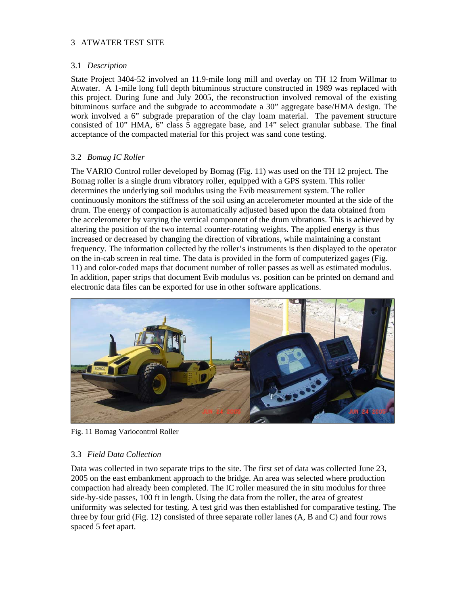# 3 ATWATER TEST SITE

# 3.1 *Description*

State Project 3404-52 involved an 11.9-mile long mill and overlay on TH 12 from Willmar to Atwater. A 1-mile long full depth bituminous structure constructed in 1989 was replaced with this project. During June and July 2005, the reconstruction involved removal of the existing bituminous surface and the subgrade to accommodate a 30" aggregate base/HMA design. The work involved a 6" subgrade preparation of the clay loam material. The pavement structure consisted of 10" HMA, 6" class 5 aggregate base, and 14" select granular subbase. The final acceptance of the compacted material for this project was sand cone testing.

# 3.2 *Bomag IC Roller*

The VARIO Control roller developed by Bomag (Fig. 11) was used on the TH 12 project. The Bomag roller is a single drum vibratory roller, equipped with a GPS system. This roller determines the underlying soil modulus using the Evib measurement system. The roller continuously monitors the stiffness of the soil using an accelerometer mounted at the side of the drum. The energy of compaction is automatically adjusted based upon the data obtained from the accelerometer by varying the vertical component of the drum vibrations. This is achieved by altering the position of the two internal counter-rotating weights. The applied energy is thus increased or decreased by changing the direction of vibrations, while maintaining a constant frequency. The information collected by the roller's instruments is then displayed to the operator on the in-cab screen in real time. The data is provided in the form of computerized gages (Fig. 11) and color-coded maps that document number of roller passes as well as estimated modulus. In addition, paper strips that document Evib modulus vs. position can be printed on demand and electronic data files can be exported for use in other software applications.



Fig. 11 Bomag Variocontrol Roller

# 3.3 *Field Data Collection*

Data was collected in two separate trips to the site. The first set of data was collected June 23, 2005 on the east embankment approach to the bridge. An area was selected where production compaction had already been completed. The IC roller measured the in situ modulus for three side-by-side passes, 100 ft in length. Using the data from the roller, the area of greatest uniformity was selected for testing. A test grid was then established for comparative testing. The three by four grid (Fig. 12) consisted of three separate roller lanes (A, B and C) and four rows spaced 5 feet apart.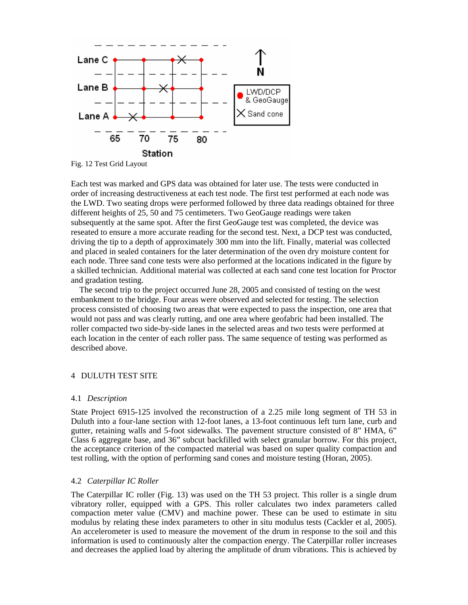

Fig. 12 Test Grid Layout

Each test was marked and GPS data was obtained for later use. The tests were conducted in order of increasing destructiveness at each test node. The first test performed at each node was the LWD. Two seating drops were performed followed by three data readings obtained for three different heights of 25, 50 and 75 centimeters. Two GeoGauge readings were taken subsequently at the same spot. After the first GeoGauge test was completed, the device was reseated to ensure a more accurate reading for the second test. Next, a DCP test was conducted, driving the tip to a depth of approximately 300 mm into the lift. Finally, material was collected and placed in sealed containers for the later determination of the oven dry moisture content for each node. Three sand cone tests were also performed at the locations indicated in the figure by a skilled technician. Additional material was collected at each sand cone test location for Proctor and gradation testing.

 The second trip to the project occurred June 28, 2005 and consisted of testing on the west embankment to the bridge. Four areas were observed and selected for testing. The selection process consisted of choosing two areas that were expected to pass the inspection, one area that would not pass and was clearly rutting, and one area where geofabric had been installed. The roller compacted two side-by-side lanes in the selected areas and two tests were performed at each location in the center of each roller pass. The same sequence of testing was performed as described above.

#### 4 DULUTH TEST SITE

#### 4.1 *Description*

State Project 6915-125 involved the reconstruction of a 2.25 mile long segment of TH 53 in Duluth into a four-lane section with 12-foot lanes, a 13-foot continuous left turn lane, curb and gutter, retaining walls and 5-foot sidewalks. The pavement structure consisted of 8" HMA, 6" Class 6 aggregate base, and 36" subcut backfilled with select granular borrow. For this project, the acceptance criterion of the compacted material was based on super quality compaction and test rolling, with the option of performing sand cones and moisture testing (Horan, 2005).

#### 4.2 *Caterpillar IC Roller*

The Caterpillar IC roller (Fig. 13) was used on the TH 53 project. This roller is a single drum vibratory roller, equipped with a GPS. This roller calculates two index parameters called compaction meter value (CMV) and machine power. These can be used to estimate in situ modulus by relating these index parameters to other in situ modulus tests (Cackler et al, 2005). An accelerometer is used to measure the movement of the drum in response to the soil and this information is used to continuously alter the compaction energy. The Caterpillar roller increases and decreases the applied load by altering the amplitude of drum vibrations. This is achieved by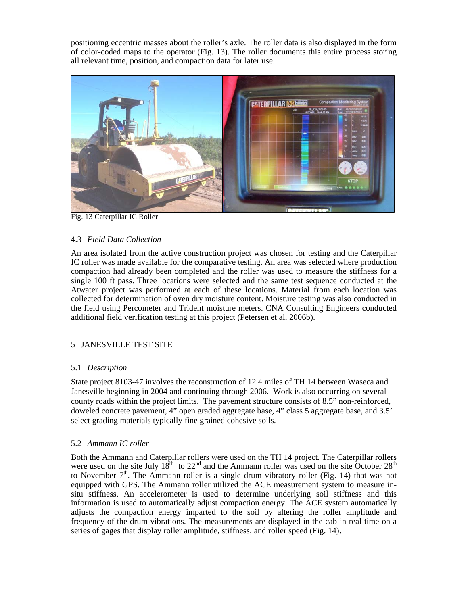positioning eccentric masses about the roller's axle. The roller data is also displayed in the form of color-coded maps to the operator (Fig. 13). The roller documents this entire process storing all relevant time, position, and compaction data for later use.



Fig. 13 Caterpillar IC Roller

# 4.3 *Field Data Collection*

An area isolated from the active construction project was chosen for testing and the Caterpillar IC roller was made available for the comparative testing. An area was selected where production compaction had already been completed and the roller was used to measure the stiffness for a single 100 ft pass. Three locations were selected and the same test sequence conducted at the Atwater project was performed at each of these locations. Material from each location was collected for determination of oven dry moisture content. Moisture testing was also conducted in the field using Percometer and Trident moisture meters. CNA Consulting Engineers conducted additional field verification testing at this project (Petersen et al, 2006b).

# 5 JANESVILLE TEST SITE

# 5.1 *Description*

State project 8103-47 involves the reconstruction of 12.4 miles of TH 14 between Waseca and Janesville beginning in 2004 and continuing through 2006. Work is also occurring on several county roads within the project limits. The pavement structure consists of 8.5" non-reinforced, doweled concrete pavement, 4" open graded aggregate base, 4" class 5 aggregate base, and 3.5' select grading materials typically fine grained cohesive soils.

# 5.2 *Ammann IC roller*

Both the Ammann and Caterpillar rollers were used on the TH 14 project. The Caterpillar rollers were used on the site July  $18^{th}$  to  $22^{nd}$  and the Ammann roller was used on the site October  $28^{th}$ to November  $7<sup>th</sup>$ . The Ammann roller is a single drum vibratory roller (Fig. 14) that was not equipped with GPS. The Ammann roller utilized the ACE measurement system to measure insitu stiffness. An accelerometer is used to determine underlying soil stiffness and this information is used to automatically adjust compaction energy. The ACE system automatically adjusts the compaction energy imparted to the soil by altering the roller amplitude and frequency of the drum vibrations. The measurements are displayed in the cab in real time on a series of gages that display roller amplitude, stiffness, and roller speed (Fig. 14).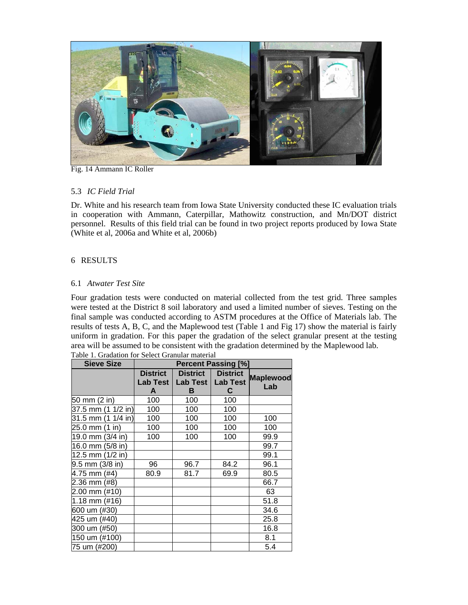

Fig. 14 Ammann IC Roller

# 5.3 *IC Field Trial*

Dr. White and his research team from Iowa State University conducted these IC evaluation trials in cooperation with Ammann, Caterpillar, Mathowitz construction, and Mn/DOT district personnel. Results of this field trial can be found in two project reports produced by Iowa State (White et al, 2006a and White et al, 2006b)

# 6 RESULTS

# 6.1 *Atwater Test Site*

Four gradation tests were conducted on material collected from the test grid. Three samples were tested at the District 8 soil laboratory and used a limited number of sieves. Testing on the final sample was conducted according to ASTM procedures at the Office of Materials lab. The results of tests A, B, C, and the Maplewood test (Table 1 and Fig 17) show the material is fairly uniform in gradation. For this paper the gradation of the select granular present at the testing area will be assumed to be consistent with the gradation determined by the Maplewood lab.

| <b>Sieve Size</b>    | <b>Percent Passing [%]</b>              |                                         |                                         |                         |  |  |
|----------------------|-----------------------------------------|-----------------------------------------|-----------------------------------------|-------------------------|--|--|
|                      | <b>District</b><br><b>Lab Test</b><br>A | <b>District</b><br><b>Lab Test</b><br>в | <b>District</b><br><b>Lab Test</b><br>С | <b>Maplewood</b><br>Lab |  |  |
| 50 mm (2 in)         | 100                                     | 100                                     | 100                                     |                         |  |  |
| 37.5 mm (1 1/2 in)   | 100                                     | 100                                     | 100                                     |                         |  |  |
| 31.5 mm (1 1/4 in)   | 100                                     | 100                                     | 100                                     | 100                     |  |  |
| 25.0 mm<br>(1 in)    | 100                                     | 100                                     | 100                                     | 100                     |  |  |
| 19.0 mm (3/4 in)     | 100                                     | 100                                     | 100                                     | 99.9                    |  |  |
| 16.0 mm (5/8 in)     |                                         |                                         |                                         | 99.7                    |  |  |
| 12.5 mm (1/2 in)     |                                         |                                         |                                         | 99.1                    |  |  |
| $9.5$ mm $(3/8)$ in) | 96                                      | 96.7                                    | 84.2                                    | 96.1                    |  |  |
| 4.75 mm (#4)         | 80.9                                    | 81.7                                    | 69.9                                    | 80.5                    |  |  |
| 2.36 mm (#8)         |                                         |                                         |                                         | 66.7                    |  |  |
| 2.00 mm (#10)        |                                         |                                         |                                         | 63                      |  |  |
| 1.18 mm (#16)        |                                         |                                         |                                         | 51.8                    |  |  |
| 600 um (#30)         |                                         |                                         |                                         | 34.6                    |  |  |
| 425 um (#40)         |                                         |                                         |                                         | 25.8                    |  |  |
| 300 um (#50)         |                                         |                                         |                                         | 16.8                    |  |  |
| 150 um (#100)        |                                         |                                         |                                         | 8.1                     |  |  |
| 75 um (#200)         |                                         |                                         |                                         | 5.4                     |  |  |

Table 1. Gradation for Select Granular material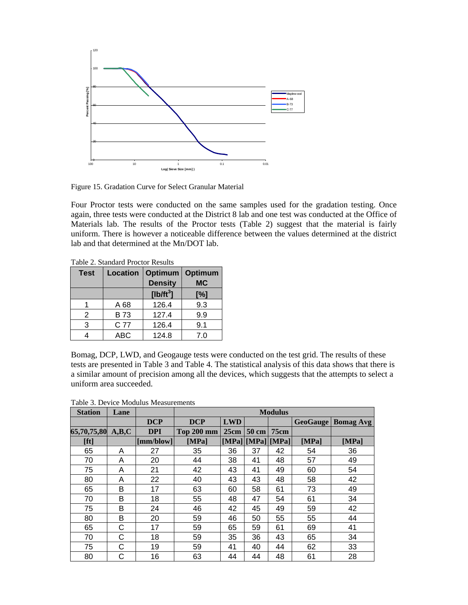

Figure 15. Gradation Curve for Select Granular Material

Four Proctor tests were conducted on the same samples used for the gradation testing. Once again, three tests were conducted at the District 8 lab and one test was conducted at the Office of Materials lab. The results of the Proctor tests (Table 2) suggest that the material is fairly uniform. There is however a noticeable difference between the values determined at the district lab and that determined at the Mn/DOT lab.

Table 2. Standard Proctor Results

| <b>Test</b> | Location   | Optimum        | Optimum   |
|-------------|------------|----------------|-----------|
|             |            | <b>Density</b> | <b>MC</b> |
|             |            | [ $lb/ft^3$ ]  | [%]       |
|             | A 68       | 126.4          | 9.3       |
| 2           | <b>B73</b> | 127.4          | 9.9       |
| 3           | C 77       | 126.4          | 9.1       |
|             | <b>ABC</b> | 124.8          | 7.0       |

Bomag, DCP, LWD, and Geogauge tests were conducted on the test grid. The results of these tests are presented in Table 3 and Table 4. The statistical analysis of this data shows that there is a similar amount of precision among all the devices, which suggests that the attempts to select a uniform area succeeded.

| Table 3. Device Modulus Measurements |  |
|--------------------------------------|--|
|--------------------------------------|--|

| <b>Station</b>    | Lane |            | <b>Modulus</b> |            |                 |      |                 |                  |
|-------------------|------|------------|----------------|------------|-----------------|------|-----------------|------------------|
|                   |      | <b>DCP</b> | <b>DCP</b>     | <b>LWD</b> |                 |      | <b>GeoGauge</b> | <b>Bomag Avg</b> |
| 65,70,75,80 A,B,C |      | <b>DPI</b> | Top 200 mm     | 25cm       | 50 cm           | 75cm |                 |                  |
| [ft]              |      | [mm/blow]  | <b>IMPal</b>   |            | [MPa][MPa][MPa] |      | <b>[MPa]</b>    | [MPa]            |
| 65                | A    | 27         | 35             | 36         | 37              | 42   | 54              | 36               |
| 70                | A    | 20         | 44             | 38         | 41              | 48   | 57              | 49               |
| 75                | A    | 21         | 42             | 43         | 41              | 49   | 60              | 54               |
| 80                | A    | 22         | 40             | 43         | 43              | 48   | 58              | 42               |
| 65                | B    | 17         | 63             | 60         | 58              | 61   | 73              | 49               |
| 70                | B    | 18         | 55             | 48         | 47              | 54   | 61              | 34               |
| 75                | B    | 24         | 46             | 42         | 45              | 49   | 59              | 42               |
| 80                | B    | 20         | 59             | 46         | 50              | 55   | 55              | 44               |
| 65                | С    | 17         | 59             | 65         | 59              | 61   | 69              | 41               |
| 70                | С    | 18         | 59             | 35         | 36              | 43   | 65              | 34               |
| 75                | C    | 19         | 59             | 41         | 40              | 44   | 62              | 33               |
| 80                | С    | 16         | 63             | 44         | 44              | 48   | 61              | 28               |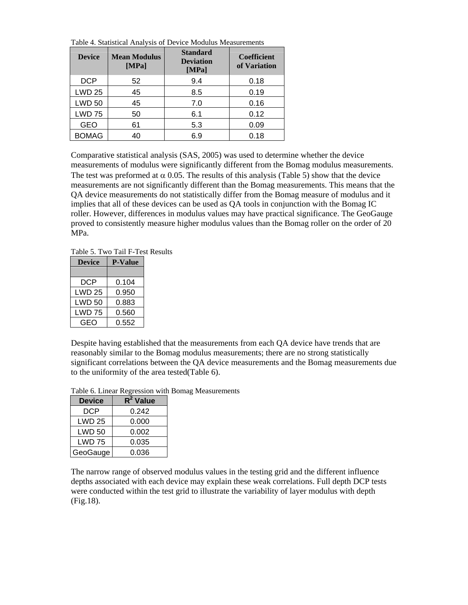Table 4. Statistical Analysis of Device Modulus Measurements

| <b>Device</b> | <b>Mean Modulus</b><br>[MPa] | <b>Standard</b><br><b>Deviation</b><br>[MPa] | <b>Coefficient</b><br>of Variation |
|---------------|------------------------------|----------------------------------------------|------------------------------------|
| <b>DCP</b>    | 52                           | 9.4                                          | 0.18                               |
| <b>LWD 25</b> | 45                           | 8.5                                          | 0.19                               |
| <b>LWD 50</b> | 45                           | 7.0                                          | 0.16                               |
| <b>LWD 75</b> | 50                           | 6.1                                          | 0.12                               |
| <b>GEO</b>    | 61                           | 5.3                                          | 0.09                               |
| <b>BOMAG</b>  | 40                           | 6.9                                          | 0.18                               |

Comparative statistical analysis (SAS, 2005) was used to determine whether the device measurements of modulus were significantly different from the Bomag modulus measurements. The test was preformed at  $\alpha$  0.05. The results of this analysis (Table 5) show that the device measurements are not significantly different than the Bomag measurements. This means that the QA device measurements do not statistically differ from the Bomag measure of modulus and it implies that all of these devices can be used as QA tools in conjunction with the Bomag IC roller. However, differences in modulus values may have practical significance. The GeoGauge proved to consistently measure higher modulus values than the Bomag roller on the order of 20 MPa.

Table 5. Two Tail F-Test Results

| <b>Device</b> | <b>P-Value</b> |
|---------------|----------------|
|               |                |
| DCP           | 0.104          |
| <b>LWD 25</b> | 0.950          |
| <b>LWD 50</b> | 0.883          |
| LWD 75        | 0.560          |
| GEO           | 0.552          |

Despite having established that the measurements from each QA device have trends that are reasonably similar to the Bomag modulus measurements; there are no strong statistically significant correlations between the QA device measurements and the Bomag measurements due to the uniformity of the area tested(Table 6).

| <b>Device</b> | $R^2$ Value |
|---------------|-------------|
| <b>DCP</b>    | 0.242       |
| <b>LWD 25</b> | 0.000       |
| <b>LWD 50</b> | 0.002       |
| LWD 75        | 0.035       |
| GeoGauge      | 0.036       |

Table 6. Linear Regression with Bomag Measurements

The narrow range of observed modulus values in the testing grid and the different influence depths associated with each device may explain these weak correlations. Full depth DCP tests were conducted within the test grid to illustrate the variability of layer modulus with depth (Fig.18).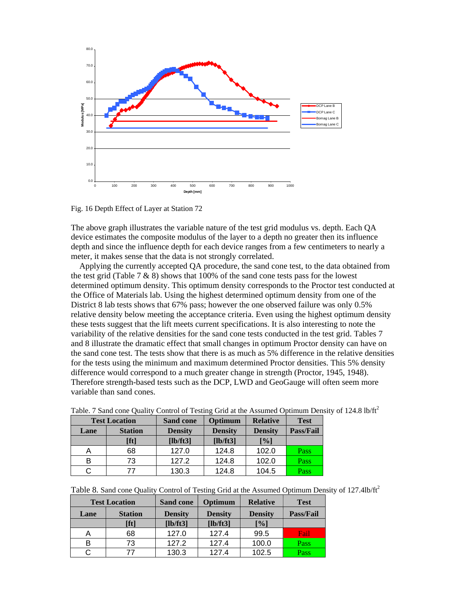

Fig. 16 Depth Effect of Layer at Station 72

The above graph illustrates the variable nature of the test grid modulus vs. depth. Each QA device estimates the composite modulus of the layer to a depth no greater then its influence depth and since the influence depth for each device ranges from a few centimeters to nearly a meter, it makes sense that the data is not strongly correlated.

 Applying the currently accepted QA procedure, the sand cone test, to the data obtained from the test grid (Table 7  $\&$  8) shows that 100% of the sand cone tests pass for the lowest determined optimum density. This optimum density corresponds to the Proctor test conducted at the Office of Materials lab. Using the highest determined optimum density from one of the District 8 lab tests shows that 67% pass; however the one observed failure was only 0.5% relative density below meeting the acceptance criteria. Even using the highest optimum density these tests suggest that the lift meets current specifications. It is also interesting to note the variability of the relative densities for the sand cone tests conducted in the test grid. Tables 7 and 8 illustrate the dramatic effect that small changes in optimum Proctor density can have on the sand cone test. The tests show that there is as much as 5% difference in the relative densities for the tests using the minimum and maximum determined Proctor densities. This 5% density difference would correspond to a much greater change in strength (Proctor, 1945, 1948). Therefore strength-based tests such as the DCP, LWD and GeoGauge will often seem more variable than sand cones.

| <b>Test Location</b>   |      | <b>Sand cone</b> | Optimum        | <b>Relative</b> | <b>Test</b>      |
|------------------------|------|------------------|----------------|-----------------|------------------|
| <b>Station</b><br>Lane |      | <b>Density</b>   | <b>Density</b> | <b>Density</b>  | <b>Pass/Fail</b> |
|                        | [ft] | [lb/ft3]         | [lb/ft3]       | [%]             |                  |
|                        | 68   | 127.0            | 124.8          | 102.0           | Pass             |
| в                      | 73   | 127.2            | 124.8          | 102.0           | Pass             |
|                        | 77   | 130.3            | 124.8          | 104.5           | Pass             |

Table. 7 Sand cone Quality Control of Testing Grid at the Assumed Optimum Density of 124.8 lb/ft<sup>2</sup>

|  |  | Table 8. Sand cone Quality Control of Testing Grid at the Assumed Optimum Density of 127.4lb/ft <sup>2</sup> |
|--|--|--------------------------------------------------------------------------------------------------------------|
|  |  |                                                                                                              |

| <b>Test Location</b> |                | <b>Sand cone</b> | Optimum           | <b>Relative</b> | <b>Test</b> |
|----------------------|----------------|------------------|-------------------|-----------------|-------------|
| Lane                 | <b>Station</b> | <b>Density</b>   | <b>Density</b>    | <b>Density</b>  | Pass/Fail   |
|                      | [ft]           | [lb/ft3]         | $[\text{lb/ft3}]$ | [%]             |             |
|                      | 68             | 127.0            | 127.4             | 99.5            | Fail        |
| в                    | 73             | 127.2            | 127.4             | 100.0           | Pass        |
|                      |                | 130.3            | 127.4             | 102.5           | Pass        |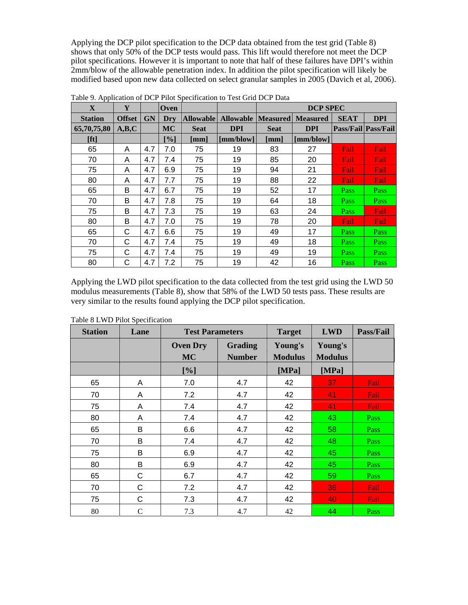Applying the DCP pilot specification to the DCP data obtained from the test grid (Table 8) shows that only 50% of the DCP tests would pass. This lift would therefore not meet the DCP pilot specifications. However it is important to note that half of these failures have DPI's within 2mm/blow of the allowable penetration index. In addition the pilot specification will likely be modified based upon new data collected on select granular samples in 2005 (Davich et al, 2006).

| $\mathbf{X}$   | Y             |           | Oven               |             |                              | <b>DCP SPEC</b>      |                    |             |                     |
|----------------|---------------|-----------|--------------------|-------------|------------------------------|----------------------|--------------------|-------------|---------------------|
| <b>Station</b> | <b>Offset</b> | <b>GN</b> | Dry                |             | <b>Allowable   Allowable</b> |                      | Measured  Measured | <b>SEAT</b> | <b>DPI</b>          |
| 65,70,75,80    | A,B,C         |           | <b>MC</b>          | <b>Seat</b> | <b>DPI</b>                   | <b>Seat</b>          | <b>DPI</b>         |             | Pass/Fail Pass/Fail |
| [ft]           |               |           | $\lceil \% \rceil$ | [mm]        | [mm/blow]                    | $\lceil$ mm $\rceil$ | [mm/blow]          |             |                     |
| 65             | A             | 4.7       | 7.0                | 75          | 19                           | 83                   | 27                 | Fail        | Fail                |
| 70             | A             | 4.7       | 7.4                | 75          | 19                           | 85                   | 20                 | Fail        | Fail                |
| 75             | A             | 4.7       | 6.9                | 75          | 19                           | 94                   | 21                 | Fail        | Fail                |
| 80             | A             | 4.7       | 7.7                | 75          | 19                           | 88                   | 22                 | Fail        | Fail                |
| 65             | B             | 4.7       | 6.7                | 75          | 19                           | 52                   | 17                 | Pass        | Pass                |
| 70             | B             | 4.7       | 7.8                | 75          | 19                           | 64                   | 18                 | Pass        | Pass                |
| 75             | B             | 4.7       | 7.3                | 75          | 19                           | 63                   | 24                 | Pass        | Fail                |
| 80             | B             | 4.7       | 7.0                | 75          | 19                           | 78                   | 20                 | Fail        | Fail                |
| 65             | C             | 4.7       | 6.6                | 75          | 19                           | 49                   | 17                 | Pass        | Pass                |
| 70             | C             | 4.7       | 7.4                | 75          | 19                           | 49                   | 18                 | Pass        | Pass                |
| 75             | C             | 4.7       | 7.4                | 75          | 19                           | 49                   | 19                 | Pass        | Pass                |
| 80             | C             | 4.7       | 7.2                | 75          | 19                           | 42                   | 16                 | Pass        | Pass                |

Table 9. Application of DCP Pilot Specification to Test Grid DCP Data

Applying the LWD pilot specification to the data collected from the test grid using the LWD 50 modulus measurements (Table 8), show that 58% of the LWD 50 tests pass. These results are very similar to the results found applying the DCP pilot specification.

| <b>Station</b> | Lane          | <b>Test Parameters</b>       |                                 | <b>Target</b>             | <b>LWD</b>                | <b>Pass/Fail</b> |
|----------------|---------------|------------------------------|---------------------------------|---------------------------|---------------------------|------------------|
|                |               | <b>Oven Dry</b><br><b>MC</b> | <b>Grading</b><br><b>Number</b> | Young's<br><b>Modulus</b> | Young's<br><b>Modulus</b> |                  |
|                |               | [%]                          |                                 | [MPa]                     | [MPa]                     |                  |
| 65             | Α             | 7.0                          | 4.7                             | 42                        | 37                        | Fail             |
| 70             | A             | 7.2                          | 4.7                             | 42                        | 41                        | Fail             |
| 75             | Α             | 7.4                          | 4.7                             | 42                        | 41                        | Fail             |
| 80             | A             | 7.4                          | 4.7                             | 42                        | 43                        | Pass             |
| 65             | В             | 6.6                          | 4.7                             | 42                        | 58                        | Pass             |
| 70             | B             | 7.4                          | 4.7                             | 42                        | 48                        | Pass             |
| 75             | B             | 6.9                          | 4.7                             | 42                        | 45                        | Pass             |
| 80             | B             | 6.9                          | 4.7                             | 42                        | 45                        | Pass             |
| 65             | C             | 6.7                          | 4.7                             | 42                        | 59                        | Pass             |
| 70             | C             | 7.2                          | 4.7                             | 42                        | 36                        | Fail             |
| 75             | C             | 7.3                          | 4.7                             | 42                        | 40                        | Fail             |
| 80             | $\mathcal{C}$ | 7.3                          | 4.7                             | 42                        | 44                        | Pass             |

Table 8 LWD Pilot Specification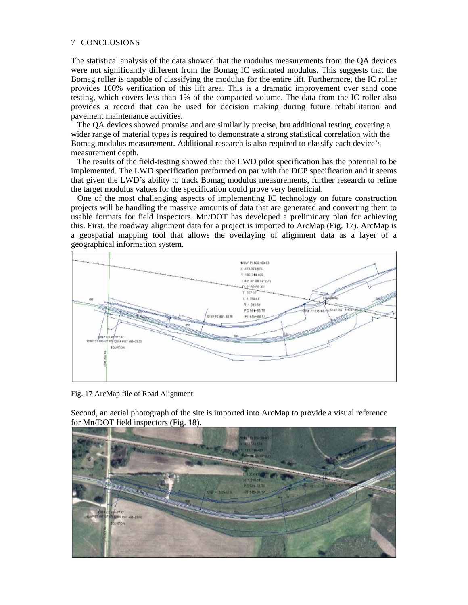# 7 CONCLUSIONS

The statistical analysis of the data showed that the modulus measurements from the QA devices were not significantly different from the Bomag IC estimated modulus. This suggests that the Bomag roller is capable of classifying the modulus for the entire lift. Furthermore, the IC roller provides 100% verification of this lift area. This is a dramatic improvement over sand cone testing, which covers less than 1% of the compacted volume. The data from the IC roller also provides a record that can be used for decision making during future rehabilitation and pavement maintenance activities.

 The QA devices showed promise and are similarily precise, but additional testing, covering a wider range of material types is required to demonstrate a strong statistical correlation with the Bomag modulus measurement. Additional research is also required to classify each device's measurement depth.

 The results of the field-testing showed that the LWD pilot specification has the potential to be implemented. The LWD specification preformed on par with the DCP specification and it seems that given the LWD's ability to track Bomag modulus measurements, further research to refine the target modulus values for the specification could prove very beneficial.

 One of the most challenging aspects of implementing IC technology on future construction projects will be handling the massive amounts of data that are generated and converting them to usable formats for field inspectors. Mn/DOT has developed a preliminary plan for achieving this. First, the roadway alignment data for a project is imported to ArcMap (Fig. 17). ArcMap is a geospatial mapping tool that allows the overlaying of alignment data as a layer of a geographical information system.



Fig. 17 ArcMap file of Road Alignment

Second, an aerial photograph of the site is imported into ArcMap to provide a visual reference for Mn/DOT field inspectors (Fig. 18).

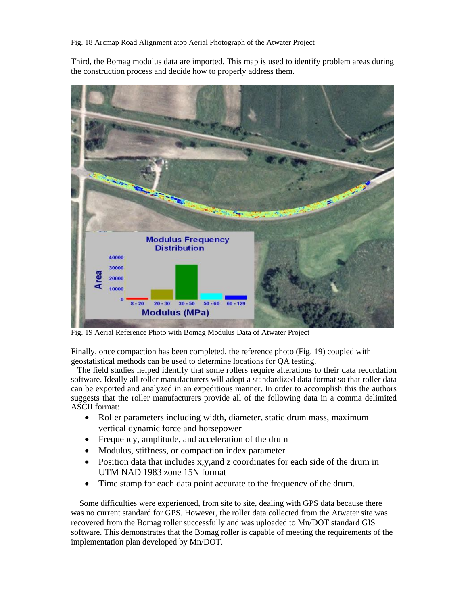Third, the Bomag modulus data are imported. This map is used to identify problem areas during the construction process and decide how to properly address them.



Fig. 19 Aerial Reference Photo with Bomag Modulus Data of Atwater Project

Finally, once compaction has been completed, the reference photo (Fig. 19) coupled with geostatistical methods can be used to determine locations for QA testing.

 The field studies helped identify that some rollers require alterations to their data recordation software. Ideally all roller manufacturers will adopt a standardized data format so that roller data can be exported and analyzed in an expeditious manner. In order to accomplish this the authors suggests that the roller manufacturers provide all of the following data in a comma delimited ASCII format:

- Roller parameters including width, diameter, static drum mass, maximum vertical dynamic force and horsepower
- Frequency, amplitude, and acceleration of the drum
- Modulus, stiffness, or compaction index parameter
- Position data that includes x,y,and z coordinates for each side of the drum in UTM NAD 1983 zone 15N format
- Time stamp for each data point accurate to the frequency of the drum.

 Some difficulties were experienced, from site to site, dealing with GPS data because there was no current standard for GPS. However, the roller data collected from the Atwater site was recovered from the Bomag roller successfully and was uploaded to Mn/DOT standard GIS software. This demonstrates that the Bomag roller is capable of meeting the requirements of the implementation plan developed by Mn/DOT.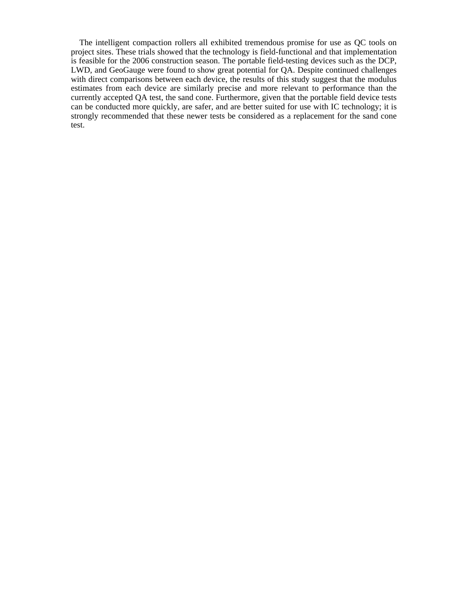The intelligent compaction rollers all exhibited tremendous promise for use as QC tools on project sites. These trials showed that the technology is field-functional and that implementation is feasible for the 2006 construction season. The portable field-testing devices such as the DCP, LWD, and GeoGauge were found to show great potential for QA. Despite continued challenges with direct comparisons between each device, the results of this study suggest that the modulus estimates from each device are similarly precise and more relevant to performance than the currently accepted QA test, the sand cone. Furthermore, given that the portable field device tests can be conducted more quickly, are safer, and are better suited for use with IC technology; it is strongly recommended that these newer tests be considered as a replacement for the sand cone test.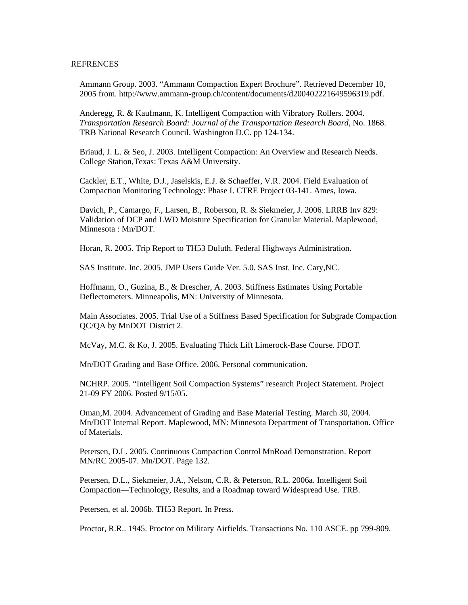#### **REFRENCES**

Ammann Group. 2003. "Ammann Compaction Expert Brochure". Retrieved December 10, 2005 from. http://www.ammann-group.ch/content/documents/d200402221649596319.pdf.

Anderegg, R. & Kaufmann, K. Intelligent Compaction with Vibratory Rollers. 2004. *Transportation Research Board: Journal of the Transportation Research Board*, No. 1868. TRB National Research Council. Washington D.C. pp 124-134.

Briaud, J. L. & Seo, J. 2003. Intelligent Compaction: An Overview and Research Needs. College Station,Texas: Texas A&M University.

Cackler, E.T., White, D.J., Jaselskis, E.J. & Schaeffer, V.R. 2004. Field Evaluation of Compaction Monitoring Technology: Phase I. CTRE Project 03-141. Ames, Iowa.

Davich, P., Camargo, F., Larsen, B., Roberson, R. & Siekmeier, J. 2006. LRRB Inv 829: Validation of DCP and LWD Moisture Specification for Granular Material. Maplewood, Minnesota : Mn/DOT.

Horan, R. 2005. Trip Report to TH53 Duluth. Federal Highways Administration.

SAS Institute. Inc. 2005. JMP Users Guide Ver. 5.0. SAS Inst. Inc. Cary,NC.

Hoffmann, O., Guzina, B., & Drescher, A. 2003. Stiffness Estimates Using Portable Deflectometers. Minneapolis, MN: University of Minnesota.

Main Associates. 2005. Trial Use of a Stiffness Based Specification for Subgrade Compaction QC/QA by MnDOT District 2.

McVay, M.C. & Ko, J. 2005. Evaluating Thick Lift Limerock-Base Course. FDOT.

Mn/DOT Grading and Base Office. 2006. Personal communication.

NCHRP. 2005. "Intelligent Soil Compaction Systems" research Project Statement. Project 21-09 FY 2006. Posted 9/15/05.

Oman,M. 2004. Advancement of Grading and Base Material Testing. March 30, 2004. Mn/DOT Internal Report. Maplewood, MN: Minnesota Department of Transportation. Office of Materials.

Petersen, D.L. 2005. Continuous Compaction Control MnRoad Demonstration. Report MN/RC 2005-07. Mn/DOT. Page 132.

Petersen, D.L., Siekmeier, J.A., Nelson, C.R. & Peterson, R.L. 2006a. Intelligent Soil Compaction—Technology, Results, and a Roadmap toward Widespread Use. TRB.

Petersen, et al. 2006b. TH53 Report. In Press.

Proctor, R.R.. 1945. Proctor on Military Airfields. Transactions No. 110 ASCE. pp 799-809.